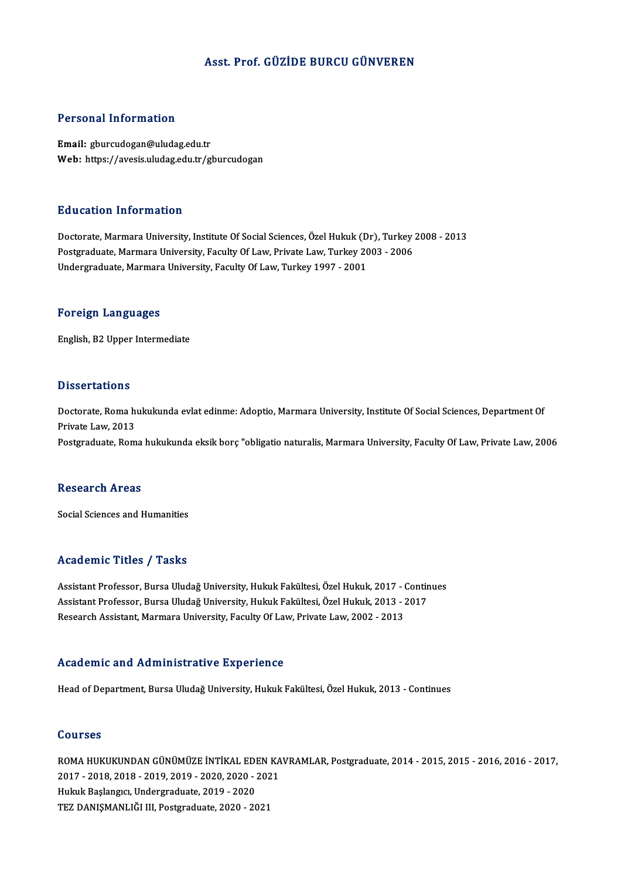#### Asst. Prof. GÜZİDE BURCU GÜNVEREN

#### Personal Information

Email: gburcudogan@uludag.edu.tr Web: https://avesis.uludag.edu.tr/gburcudogan

#### Education Information

Education Information<br>Doctorate, Marmara University, Institute Of Social Sciences, Özel Hukuk (Dr), Turkey 2008 - 2013<br>Postsraduate Marmara University, Faculty Of Law, Private Law, Turkey 2003 - 2006 Puususeen IIII of Inderon<br>Doctorate, Marmara University, Institute Of Social Sciences, Özel Hukuk (Dr), Turkey<br>Postgraduate, Marmara University, Faculty Of Law, Turkey 1997–2003 - 2006<br>Undergraduate Marmara University, Fac Postgraduate, Marmara University, Faculty Of Law, Private Law, Turkey 2003 - 2006<br>Undergraduate, Marmara University, Faculty Of Law, Turkey 1997 - 2001

#### Foreign Languages

English,B2Upper Intermediate

#### **Dissertations**

Dissertations<br>Doctorate, Roma hukukunda evlat edinme: Adoptio, Marmara University, Institute Of Social Sciences, Department Of<br>Private Law 2013 Private Laurence<br>Doctorate, Roma h<br>Private Law, 2013<br>Postareduate, Bom Private Law, 2013<br>Postgraduate, Roma hukukunda eksik borç "obligatio naturalis, Marmara University, Faculty Of Law, Private Law, 2006

#### **Research Areas**

Social Sciences and Humanities

#### Academic Titles / Tasks

Academic Titles / Tasks<br>Assistant Professor, Bursa Uludağ University, Hukuk Fakültesi, Özel Hukuk, 2017 - Continues<br>Assistant Professor, Bursa Uludağ University, Hukuk Fakültesi, Özel Hukuk, 2012 - 2017 Assistant Professor, Bursa Uludağ University, Hukuk Fakültesi, Özel Hukuk, 2017 - Contin<br>Assistant Professor, Bursa Uludağ University, Hukuk Fakültesi, Özel Hukuk, 2013 - 2017<br>Researsh Assistant Marmara University, Faculty Assistant Professor, Bursa Uludağ University, Hukuk Fakültesi, Özel Hukuk, 2017 - (<br>Assistant Professor, Bursa Uludağ University, Hukuk Fakültesi, Özel Hukuk, 2013 - ;<br>Research Assistant, Marmara University, Faculty Of Law Research Assistant, Marmara University, Faculty Of Law, Private Law, 2002 - 2013<br>Academic and Administrative Experience

Head of Department, Bursa Uludağ University, Hukuk Fakültesi, Özel Hukuk, 2013 - Continues

#### Courses

Courses<br>ROMA HUKUKUNDAN GÜNÜMÜZE İNTİKAL EDEN KAVRAMLAR, Postgraduate, 2014 - 2015, 2015 - 2016, 2016 - 2017,<br>2017 - 2018, 2019, 2019, 2019, 2020, 2020, 2021 2011 505<br>2017 - 2018, 2018 - 2019, 2019 - 2020, 2020 - 2021<br>2017 - 2018, 2018 - 2019, 2019 - 2020, 2020 - 2021<br>Huluk Beelangue Undergraduate 2019, 2020 2017 - 2018, 2018 - 2019, 2019 - 2020, 2020 - 2021<br>Hukuk Başlangıcı, Undergraduate, 2019 - 2020 TEZ DANIŞMANLIĞI III, Postgraduate, 2020 - 2021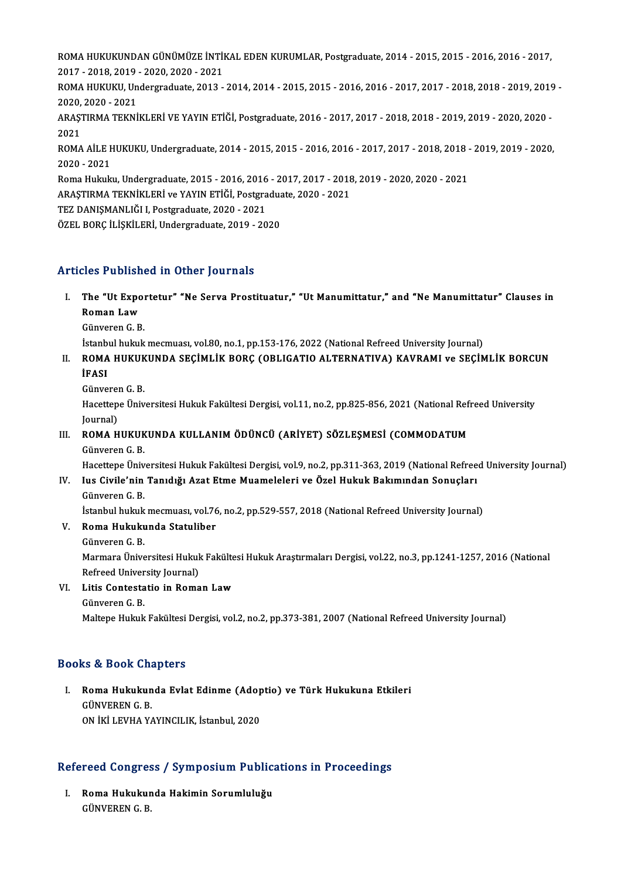ROMA HUKUKUNDAN GÜNÜMÜZE İNTİKAL EDEN KURUMLAR, Postgraduate, 2014 - 2015, 2015 - 2016, 2016 - 2017,<br>2017 - 2018, 2019, 2020, 2020, 2021 ROMA HUKUKUNDAN GÜNÜMÜZE İNTİ<br>2017 - 2018, 2019 - 2020, 2020 - 2021<br>POMA HUKUKU Undersreduste 2013 ROMA HUKUKUNDAN GÜNÜMÜZE İNTİKAL EDEN KURUMLAR, Postgraduate, 2014 - 2015, 2015 - 2016, 2016 - 2017,<br>2017 - 2018, 2019 - 2020, 2020 - 2021<br>ROMA HUKUKU, Undergraduate, 2013 - 2014, 2014 - 2015, 2015 - 2016, 2016 - 2017, 201 2017 - 2018, 2019 - 2020, 2020 - 2021<br>ROMA HUKUKU, Undergraduate, 2013 - 2014, 2014 - 2015, 2015 - 2016, 2016 - 2017, 2017 - 2018, 2018 - 2019, 2019<br>2020. 2020 - 2021 ROMA HUKUKU, Undergraduate, 2013 - 2014, 2014 - 2015, 2015 - 2016, 2016 - 2017, 2017 - 2018, 2018 - 2019, 2019<br>2020, 2020 - 2021<br>ARAŞTIRMA TEKNİKLERİ VE YAYIN ETİĞİ, Postgraduate, 2016 - 2017, 2017 - 2018, 2018 - 2019, 201 2020,<br>ARAŞ<br>2021<br>POMA ARAŞTIRMA TEKNİKLERİ VE YAYIN ETİĞİ, Postgraduate, 2016 - 2017, 2017 - 2018, 2018 - 2019, 2019 - 2020, 2020 -<br>2021<br>ROMA AİLE HUKUKU, Undergraduate, 2014 - 2015, 2015 - 2016, 2016 - 2017, 2017 - 2018, 2018 - 2019, 2019 - 20 2021<br>ROMA AİLE F<br>2020 - 2021<br>Boma Hulala ROMA AİLE HUKUKU, Undergraduate, 2014 - 2015, 2015 - 2016, 2016 - 2017, 2017 - 2018, 2018 -<br>2020 - 2021<br>Roma Hukuku, Undergraduate, 2015 - 2016, 2016 - 2017, 2017 - 2018, 2019 - 2020, 2020 - 2021<br>ARASTIRMA TEKNİKI ERİ ve Y 2020 - 2021<br>Roma Hukuku, Undergraduate, 2015 - 2016, 2016 - 2017, 2017 - 2018<br>ARAŞTIRMA TEKNİKLERİ ve YAYIN ETİĞİ, Postgraduate, 2020 - 2021<br>TEZ DANISMANLIĞLI, Postgraduate, 2020, 2021 Roma Hukuku, Undergraduate, 2015 - 2016, 2016<br>ARAŞTIRMA TEKNİKLERİ ve YAYIN ETİĞİ, Postgra<br>TEZ DANIŞMANLIĞI I, Postgraduate, 2020 - 2021<br>ÖZEL POPC İLİSKİLERİ Undergraduate, 2019, -20 ARAŞTIRMA TEKNİKLERİ ve YAYIN ETİĞİ, Postgraduate, 2020 - 2021<br>TEZ DANIŞMANLIĞI I, Postgraduate, 2020 - 2021<br>ÖZEL BORC İLİSKİLERİ, Undergraduate, 2019 - 2020

### Articles Published in Other Journals

- rticles Published in Other Journals<br>I. The "Ut Exportetur" "Ne Serva Prostituatur," "Ut Manumittatur," and "Ne Manumittatur" Clauses in<br>Roman Law ros I distion<br>The "Ut Expo<br>Roman Law<br>Cünyeren C B The "Ut Expol<br>Roman Law<br>Günveren G. B.<br>İstanbul buluk Roman Law<br>Günveren G. B.<br>İstanbul hukuk mecmuası, vol.80, no.1, pp.153-176, 2022 (National Refreed University Journal)
	-

- Günveren G. B.<br>İstanbul hukuk mecmuası, vol.80, no.1, pp.153-176, 2022 (National Refreed University Journal)<br>II. ROMA HUKUKUNDA SEÇİMLİK BORÇ (OBLIGATIO ALTERNATIVA) KAVRAMI ve SEÇİMLİK BORCUN<br>İRASI İstanb<br>ROMA<br>İFASI ROMA HUKUK<br>İFASI<br>Günveren G. B.<br>Hasattana Üniv
	-

**İFASI**<br>Günveren G. B.<br>Hacettepe Üniversitesi Hukuk Fakültesi Dergisi, vol.11, no.2, pp.825-856, 2021 (National Refreed University Günverei<br>Hacettep<br>Journal)<br>ROMA H Hacettepe Üniversitesi Hukuk Fakültesi Dergisi, vol.11, no.2, pp.825-856, 2021 (National Ref. Journal)<br>Journal)<br>III. ROMA HUKUKUNDA KULLANIM ÖDÜNCÜ (ARİYET) SÖZLEŞMESİ (COMMODATUM

Journal)<br>ROMA HUKUK<br>Günveren G. B.<br>Hasattana Üniv

Günveren G. B.<br>Hacettepe Üniversitesi Hukuk Fakültesi Dergisi, vol.9, no.2, pp.311-363, 2019 (National Refreed University Journal)

## Günveren G. B.<br>Hacettepe Üniversitesi Hukuk Fakültesi Dergisi, vol.9, no.2, pp.311-363, 2019 (National Refree<br>IV. Ius Civile'nin Tanıdığı Azat Etme Muameleleri ve Özel Hukuk Bakımından Sonuçları<br>Günyaran G. B Hacettepe Üniv<br>Ius Civile'nin<br>Günveren G. B.<br>İstanbul buluk Ius Civile'nin Tanıdığı Azat Etme Muameleleri ve Özel Hukuk Bakımından Sonuçları<br>Günveren G. B.<br>İstanbul hukuk mecmuası, vol.76, no.2, pp.529-557, 2018 (National Refreed University Journal)<br>Boma Hukukunda Statuliber Günveren G. B.<br>İstanbul hukuk mecmuası, vol.76<br>V. Roma Hukukunda Statuliber<br>Günveren G. B.

İstanbul hukuk<br><mark>Roma Hukuku</mark><br>Günveren G. B.<br>Marmara Üniva Roma Hukukunda Statuliber<br>Günveren G. B.<br>Marmara Üniversitesi Hukuk Fakültesi Hukuk Araştırmaları Dergisi, vol.22, no.3, pp.1241-1257, 2016 (National<br>Refreed University Journal) Günveren G. B.<br>Marmara Üniversitesi Hukul<br>Refreed University Journal)<br>Litis Contestatio in Bomo Refreed University Journal)

VI. Litis Contestatio in Roman Law

Maltepe Hukuk Fakültesi Dergisi, vol.2, no.2, pp.373-381, 2007 (National Refreed University Journal)

### Books&Book Chapters

ooks & Book Chapters<br>I. Roma Hukukunda Evlat Edinme (Adoptio) ve Türk Hukukuna Etkileri<br>CÜNVEREN C B GUNGA GUNGA<br>Roma Hukukun<br>GÜNVEREN G. B.<br>ON İKİ LEVHA V Roma Hukukunda Evlat Edinme (Adop<br>GÜNVEREN G. B.<br>ON İKİ LEVHA YAYINCILIK, İstanbul, 2020

# on iki Levha Yayıncılık, istanbul, 2020<br>Refereed Congress / Symposium Publications in Proceedings

efereed Congress / Symposium Public:<br>I. Roma Hukukunda Hakimin Sorumluluğu<br>CÜNVEPENC P I. Roma Hukukunda Hakimin Sorumluluğu<br>GÜNVEREN G.B.